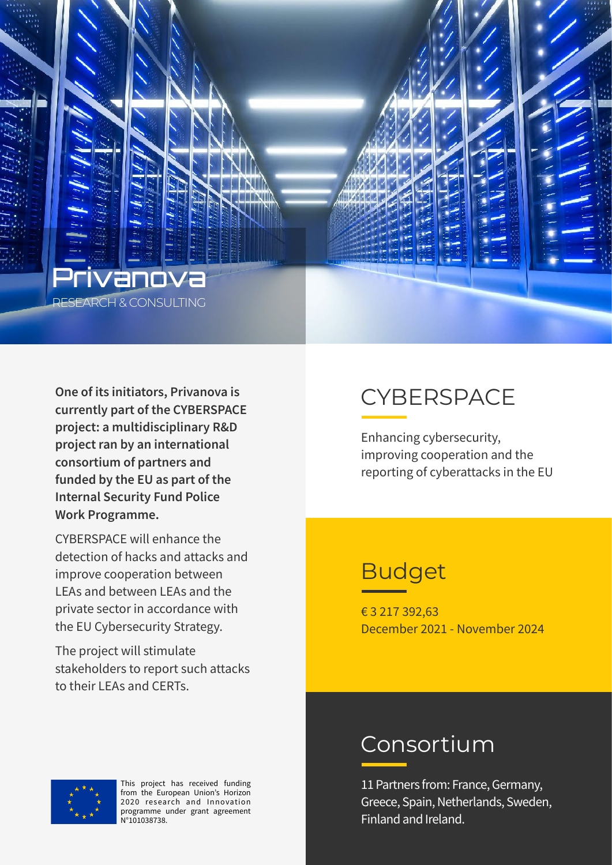

**One of its initiators, Privanova is currently part of the CYBERSPACE project: a multidisciplinary R&D project ran by an international consortium of partners and funded by the EU as part of the Internal Security Fund Police Work Programme.** 

CYBERSPACE will enhance the detection of hacks and attacks and improve cooperation between LEAs and between LEAs and the private sector in accordance with the EU Cybersecurity Strategy.

The project will stimulate stakeholders to report such attacks to their LEAs and CERTs.

## **CYBERSPACE**

Enhancing cybersecurity, improving cooperation and the reporting of cyberattacks in the EU

### Budget

€ 3 217 392,63 December 2021 - November 2024

#### Consortium

11 Partners from: France, Germany, Greece, Spain, Netherlands, Sweden, Finland and Ireland.